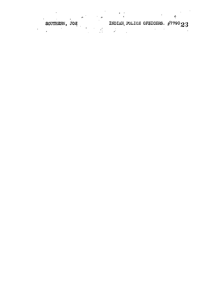SOUTHERN, JOE INDIAN POLICE OFFICERS.  $\#$ 779023

 $\mathcal{L}_{\mathcal{L}}$ 

Ķ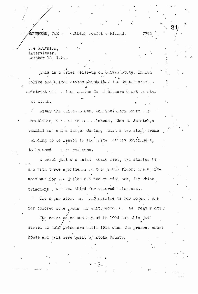SOUTHERN, JOE A MIDIAN CLICE OF LOLAS.

J.e Southern, interviewer. Cotober 12, 1.5%.

This is a brief write-up of thited otate. In han rolice and buited states mershalsor the southerstern . auistrict wit witted unates Co distiners Court is ated  $3.5.531$ 

779C

I after the chiped blates Condissioners Sourt Des established i facto is now chlahoma, 'Sam B. Scratch, a sawmill mar and a lumper Mealer, mill a two story frame an ding to be leased to the laite. She les Government, to be used. a ci rt-Louse.

a srich jail was suit 40x80 feet, two stories him ald with three apartments on the pround floor; one apartment was for the juiler and the guirds; one, for white prisoners, and the third for colored lise.ers.

We uper story all business for somen; one for colored wolle , one or white women a. two rest rooms.

The court pouse was surfed in 1903 out this jail served to hold prisoters until 1918 when the present court house and jail were puilt by atoka County.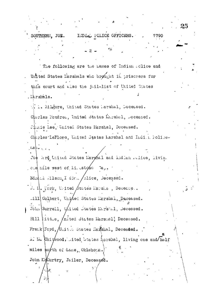25 INDIE. POLICE OFFICERS. SOUTHERN. JOE. 7790 The following are the hames of Indian rolice and United States Marshals who brought in prisoners for this court and also the jail-list of United States . ikrshels. ... Milgore, United States Larshal, Deceased. Charles Faudred, United States Marshal, Deceased. Jimie Lee, United States Marshal, Deceased. Charles LeFlore, United States Larshal and Indian Police- $\mathbf{r} = \mathbf{r}$ Joe lard thind States Marghal and Indian relice, living one mile west of ii. stone ിക് Edmini Milson, I div. /olice, Deceased. J. I. Vork, United  $\beta$ tates Marshe, Decease.. .ill Colbert, United States Marshal, Deceased. John Surrell, Ulited States Mirstel, Deceased. Bill |ittle, Anited States Marshal; Deceased. Frank Ford, Unitla States Marshal, Deceased. A. M. Chit/wood, inited btates harshal, living one and/half miles notth of Lane, Oklahoma. John Momurtry, Jailer, Deceased.